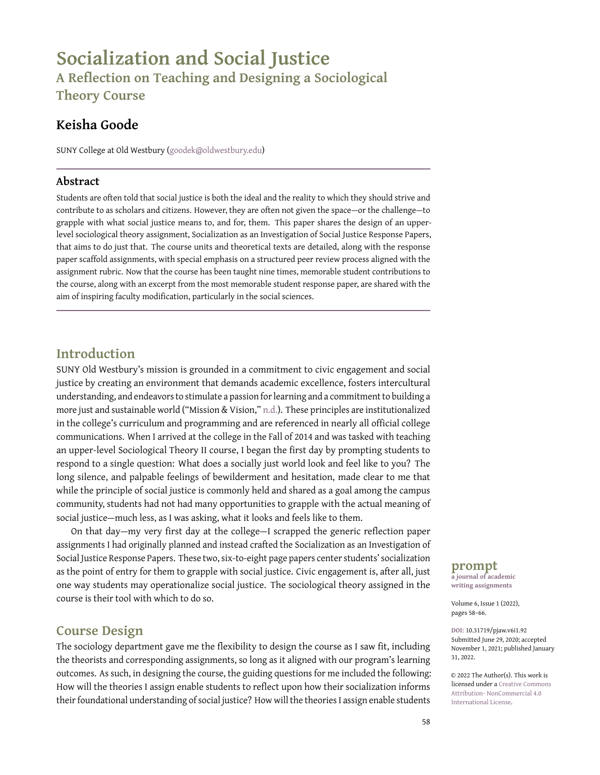# **Socialization and Social Justice A Reflection on Teaching and Designing a Sociological Theory Course**

# **Keisha Goode**

SUNY College at Old Westbury [\(goodek@oldwestbury.edu\)](goodek@oldwestbury.edu)

### **Abstract**

Students are often told that social justice is both the ideal and the reality to which they should strive and contribute to as scholars and citizens. However, they are often not given the space—or the challenge—to grapple with what social justice means to, and for, them. This paper shares the design of an upperlevel sociological theory assignment, Socialization as an Investigation of Social Justice Response Papers, that aims to do just that. The course units and theoretical texts are detailed, along with the response paper scaffold assignments, with special emphasis on a structured peer review process aligned with the assignment rubric. Now that the course has been taught nine times, memorable student contributions to the course, along with an excerpt from the most memorable student response paper, are shared with the aim of inspiring faculty modification, particularly in the social sciences.

## **Introduction**

SUNY Old Westbury's mission is grounded in a commitment to civic engagement and social justice by creating an environment that demands academic excellence, fosters intercultural understanding, and endeavors to stimulate a passion for learning and a commitment to building a more just and sustainable world ("Mission & Vision," [n.d.\)](#page-8-0). These principles are institutionalized in the college's curriculum and programming and are referenced in nearly all official college communications. When I arrived at the college in the Fall of 2014 and was tasked with teaching an upper-level Sociological Theory II course, I began the first day by prompting students to respond to a single question: What does a socially just world look and feel like to you? The long silence, and palpable feelings of bewilderment and hesitation, made clear to me that while the principle of social justice is commonly held and shared as a goal among the campus community, students had not had many opportunities to grapple with the actual meaning of social justice—much less, as I was asking, what it looks and feels like to them.

On that day—my very first day at the college—I scrapped the generic reflection paper assignments I had originally planned and instead crafted the Socialization as an Investigation of Social Justice Response Papers. These two, six-to-eight page papers center students' socialization as the point of entry for them to grapple with social justice. Civic engagement is, after all, just one way students may operationalize social justice. The sociological theory assigned in the course is their tool with which to do so.

### **Course Design**

The sociology department gave me the flexibility to design the course as I saw fit, including the theorists and corresponding assignments, so long as it aligned with our program's learning outcomes. As such, in designing the course, the guiding questions for me included the following: How will the theories I assign enable students to reflect upon how their socialization informs their foundational understanding of social justice? How will the theories I assign enable students **prompt a journal of academic**

**writing assignments**

Volume 6, Issue 1 (2022), pages 58–66.

**DOI:** 10.31719/pjaw.v6i1.92 Submitted June 29, 2020; accepted November 1, 2021; published January 31, 2022.

© 2022 The Author(s). This work is licensed under a [Creative Commons](http://creativecommons.org/licenses/by-nc/4.0/) [Attribution- NonCommercial 4.0](http://creativecommons.org/licenses/by-nc/4.0/) [International License.](http://creativecommons.org/licenses/by-nc/4.0/)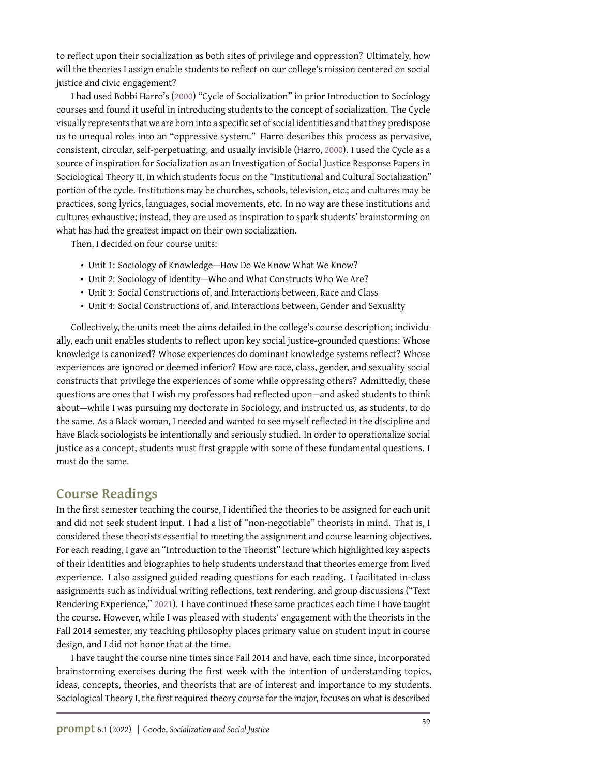to reflect upon their socialization as both sites of privilege and oppression? Ultimately, how will the theories I assign enable students to reflect on our college's mission centered on social justice and civic engagement?

I had used Bobbi Harro's [\(2000\)](#page-8-1) "Cycle of Socialization" in prior Introduction to Sociology courses and found it useful in introducing students to the concept of socialization. The Cycle visually represents that we are born into a specific set of social identities and that they predispose us to unequal roles into an "oppressive system." Harro describes this process as pervasive, consistent, circular, self-perpetuating, and usually invisible (Harro, [2000\)](#page-8-1). I used the Cycle as a source of inspiration for Socialization as an Investigation of Social Justice Response Papers in Sociological Theory II, in which students focus on the "Institutional and Cultural Socialization" portion of the cycle. Institutions may be churches, schools, television, etc.; and cultures may be practices, song lyrics, languages, social movements, etc. In no way are these institutions and cultures exhaustive; instead, they are used as inspiration to spark students' brainstorming on what has had the greatest impact on their own socialization.

Then, I decided on four course units:

- Unit 1: Sociology of Knowledge—How Do We Know What We Know?
- Unit 2: Sociology of Identity—Who and What Constructs Who We Are?
- Unit 3: Social Constructions of, and Interactions between, Race and Class
- Unit 4: Social Constructions of, and Interactions between, Gender and Sexuality

Collectively, the units meet the aims detailed in the college's course description; individually, each unit enables students to reflect upon key social justice-grounded questions: Whose knowledge is canonized? Whose experiences do dominant knowledge systems reflect? Whose experiences are ignored or deemed inferior? How are race, class, gender, and sexuality social constructs that privilege the experiences of some while oppressing others? Admittedly, these questions are ones that I wish my professors had reflected upon—and asked students to think about—while I was pursuing my doctorate in Sociology, and instructed us, as students, to do the same. As a Black woman, I needed and wanted to see myself reflected in the discipline and have Black sociologists be intentionally and seriously studied. In order to operationalize social justice as a concept, students must first grapple with some of these fundamental questions. I must do the same.

### **Course Readings**

In the first semester teaching the course, I identified the theories to be assigned for each unit and did not seek student input. I had a list of "non-negotiable" theorists in mind. That is, I considered these theorists essential to meeting the assignment and course learning objectives. For each reading, I gave an "Introduction to the Theorist" lecture which highlighted key aspects of their identities and biographies to help students understand that theories emerge from lived experience. I also assigned guided reading questions for each reading. I facilitated in-class assignments such as individual writing reflections, text rendering, and group discussions ("Text Rendering Experience," [2021\)](#page-8-2). I have continued these same practices each time I have taught the course. However, while I was pleased with students' engagement with the theorists in the Fall 2014 semester, my teaching philosophy places primary value on student input in course design, and I did not honor that at the time.

I have taught the course nine times since Fall 2014 and have, each time since, incorporated brainstorming exercises during the first week with the intention of understanding topics, ideas, concepts, theories, and theorists that are of interest and importance to my students. Sociological Theory I, the first required theory course for the major, focuses on what is described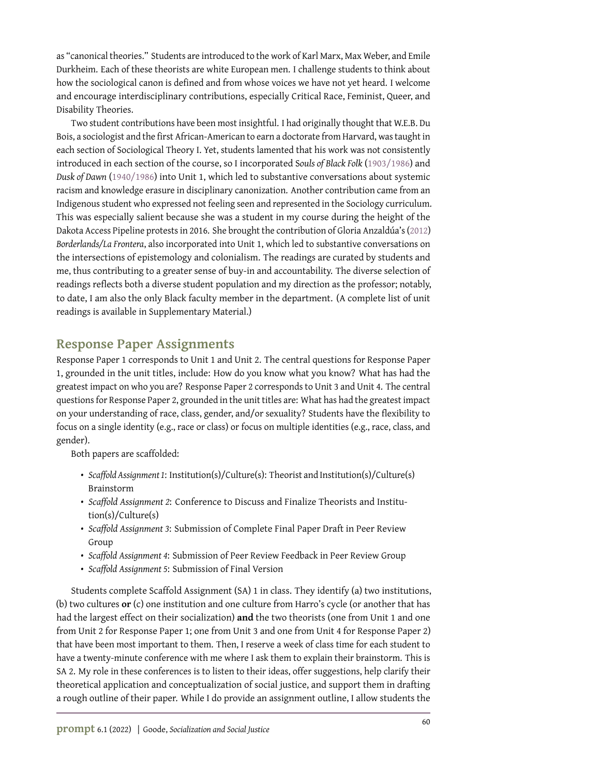as "canonical theories." Students are introduced to the work of Karl Marx, Max Weber, and Emile Durkheim. Each of these theorists are white European men. I challenge students to think about how the sociological canon is defined and from whose voices we have not yet heard. I welcome and encourage interdisciplinary contributions, especially Critical Race, Feminist, Queer, and Disability Theories.

Two student contributions have been most insightful. I had originally thought that W.E.B. Du Bois, a sociologist and the first African-American to earn a doctorate from Harvard, was taught in each section of Sociological Theory I. Yet, students lamented that his work was not consistently introduced in each section of the course, so I incorporated S*ouls of Black Folk* [\(1903/1986\)](#page-8-3) and *Dusk of Dawn* [\(1940/1986\)](#page-8-4) into Unit 1, which led to substantive conversations about systemic racism and knowledge erasure in disciplinary canonization. Another contribution came from an Indigenous student who expressed not feeling seen and represented in the Sociology curriculum. This was especially salient because she was a student in my course during the height of the Dakota Access Pipeline protests in 2016. She brought the contribution of Gloria Anzaldúa's [\(2012\)](#page-8-5) *Borderlands/La Frontera*, also incorporated into Unit 1, which led to substantive conversations on the intersections of epistemology and colonialism. The readings are curated by students and me, thus contributing to a greater sense of buy-in and accountability. The diverse selection of readings reflects both a diverse student population and my direction as the professor; notably, to date, I am also the only Black faculty member in the department. (A complete list of unit readings is available in Supplementary Material.)

### **Response Paper Assignments**

Response Paper 1 corresponds to Unit 1 and Unit 2. The central questions for Response Paper 1, grounded in the unit titles, include: How do you know what you know? What has had the greatest impact on who you are? Response Paper 2 corresponds to Unit 3 and Unit 4. The central questions for Response Paper 2, grounded in the unit titles are: What has had the greatest impact on your understanding of race, class, gender, and/or sexuality? Students have the flexibility to focus on a single identity (e.g., race or class) or focus on multiple identities (e.g., race, class, and gender).

Both papers are scaffolded:

- *Scaffold Assignment 1*: Institution(s)/Culture(s): Theorist and Institution(s)/Culture(s) Brainstorm
- *Scaffold Assignment 2*: Conference to Discuss and Finalize Theorists and Institution(s)/Culture(s)
- *Scaffold Assignment 3*: Submission of Complete Final Paper Draft in Peer Review Group
- *Scaffold Assignment 4*: Submission of Peer Review Feedback in Peer Review Group
- *Scaffold Assignment 5*: Submission of Final Version

Students complete Scaffold Assignment (SA) 1 in class. They identify (a) two institutions, (b) two cultures **or** (c) one institution and one culture from Harro's cycle (or another that has had the largest effect on their socialization) **and** the two theorists (one from Unit 1 and one from Unit 2 for Response Paper 1; one from Unit 3 and one from Unit 4 for Response Paper 2) that have been most important to them. Then, I reserve a week of class time for each student to have a twenty-minute conference with me where I ask them to explain their brainstorm. This is SA 2. My role in these conferences is to listen to their ideas, offer suggestions, help clarify their theoretical application and conceptualization of social justice, and support them in drafting a rough outline of their paper. While I do provide an assignment outline, I allow students the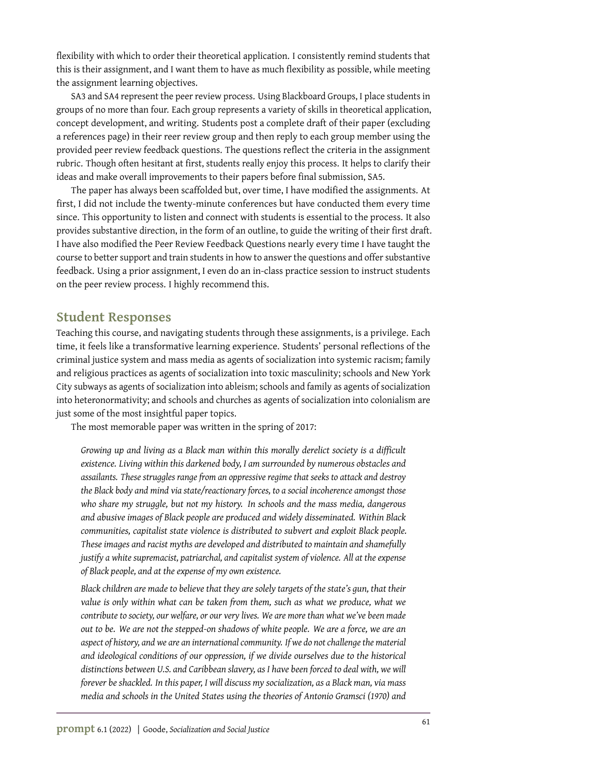flexibility with which to order their theoretical application. I consistently remind students that this is their assignment, and I want them to have as much flexibility as possible, while meeting the assignment learning objectives.

SA3 and SA4 represent the peer review process. Using Blackboard Groups, I place students in groups of no more than four. Each group represents a variety of skills in theoretical application, concept development, and writing. Students post a complete draft of their paper (excluding a references page) in their reer review group and then reply to each group member using the provided peer review feedback questions. The questions reflect the criteria in the assignment rubric. Though often hesitant at first, students really enjoy this process. It helps to clarify their ideas and make overall improvements to their papers before final submission, SA5.

The paper has always been scaffolded but, over time, I have modified the assignments. At first, I did not include the twenty-minute conferences but have conducted them every time since. This opportunity to listen and connect with students is essential to the process. It also provides substantive direction, in the form of an outline, to guide the writing of their first draft. I have also modified the Peer Review Feedback Questions nearly every time I have taught the course to better support and train students in how to answer the questions and offer substantive feedback. Using a prior assignment, I even do an in-class practice session to instruct students on the peer review process. I highly recommend this.

### **Student Responses**

Teaching this course, and navigating students through these assignments, is a privilege. Each time, it feels like a transformative learning experience. Students' personal reflections of the criminal justice system and mass media as agents of socialization into systemic racism; family and religious practices as agents of socialization into toxic masculinity; schools and New York City subways as agents of socialization into ableism; schools and family as agents of socialization into heteronormativity; and schools and churches as agents of socialization into colonialism are just some of the most insightful paper topics.

The most memorable paper was written in the spring of 2017:

*Growing up and living as a Black man within this morally derelict society is a difficult existence. Living within this darkened body, I am surrounded by numerous obstacles and assailants. These struggles range from an oppressive regime that seeks to attack and destroy the Black body and mind via state/reactionary forces, to a social incoherence amongst those who share my struggle, but not my history. In schools and the mass media, dangerous and abusive images of Black people are produced and widely disseminated. Within Black communities, capitalist state violence is distributed to subvert and exploit Black people. These images and racist myths are developed and distributed to maintain and shamefully justify a white supremacist, patriarchal, and capitalist system of violence. All at the expense of Black people, and at the expense of my own existence.*

*Black children are made to believe that they are solely targets of the state's gun, that their value is only within what can be taken from them, such as what we produce, what we contribute to society, our welfare, or our very lives. We are more than what we've been made out to be. We are not the stepped-on shadows of white people. We are a force, we are an aspect of history, and we are an international community. If we do not challenge the material and ideological conditions of our oppression, if we divide ourselves due to the historical distinctions between U.S. and Caribbean slavery, as I have been forced to deal with, we will forever be shackled. In this paper, I will discuss my socialization, as a Black man, via mass media and schools in the United States using the theories of Antonio Gramsci (1970) and*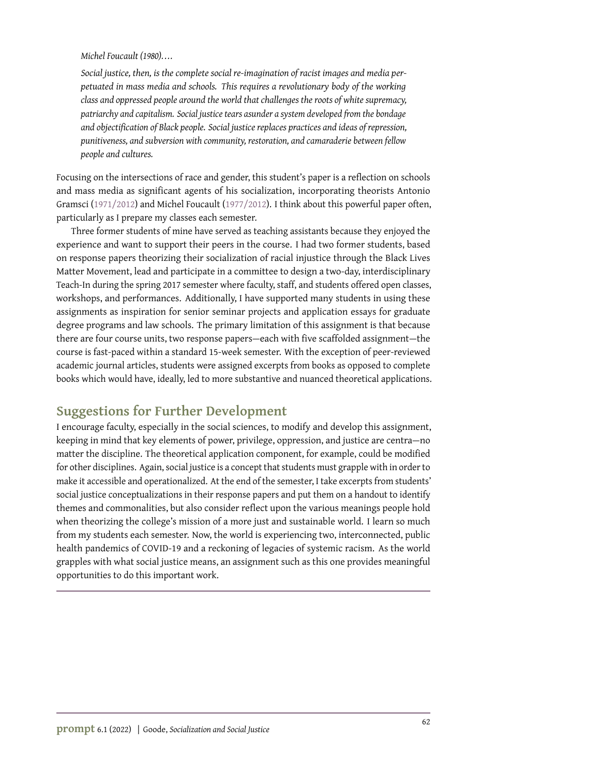*Michel Foucault (1980). . . .*

*Social justice, then, is the complete social re-imagination of racist images and media perpetuated in mass media and schools. This requires a revolutionary body of the working class and oppressed people around the world that challenges the roots of white supremacy, patriarchy and capitalism. Social justice tears asunder a system developed from the bondage and objectification of Black people. Social justice replaces practices and ideas of repression, punitiveness, and subversion with community, restoration, and camaraderie between fellow people and cultures.*

Focusing on the intersections of race and gender, this student's paper is a reflection on schools and mass media as significant agents of his socialization, incorporating theorists Antonio Gramsci [\(1971/2012\)](#page-8-6) and Michel Foucault [\(1977/2012\)](#page-8-7). I think about this powerful paper often, particularly as I prepare my classes each semester.

Three former students of mine have served as teaching assistants because they enjoyed the experience and want to support their peers in the course. I had two former students, based on response papers theorizing their socialization of racial injustice through the Black Lives Matter Movement, lead and participate in a committee to design a two-day, interdisciplinary Teach-In during the spring 2017 semester where faculty, staff, and students offered open classes, workshops, and performances. Additionally, I have supported many students in using these assignments as inspiration for senior seminar projects and application essays for graduate degree programs and law schools. The primary limitation of this assignment is that because there are four course units, two response papers—each with five scaffolded assignment—the course is fast-paced within a standard 15-week semester. With the exception of peer-reviewed academic journal articles, students were assigned excerpts from books as opposed to complete books which would have, ideally, led to more substantive and nuanced theoretical applications.

# **Suggestions for Further Development**

I encourage faculty, especially in the social sciences, to modify and develop this assignment, keeping in mind that key elements of power, privilege, oppression, and justice are centra—no matter the discipline. The theoretical application component, for example, could be modified for other disciplines. Again, social justice is a concept that students must grapple with in order to make it accessible and operationalized. At the end of the semester, I take excerpts from students' social justice conceptualizations in their response papers and put them on a handout to identify themes and commonalities, but also consider reflect upon the various meanings people hold when theorizing the college's mission of a more just and sustainable world. I learn so much from my students each semester. Now, the world is experiencing two, interconnected, public health pandemics of COVID-19 and a reckoning of legacies of systemic racism. As the world grapples with what social justice means, an assignment such as this one provides meaningful opportunities to do this important work.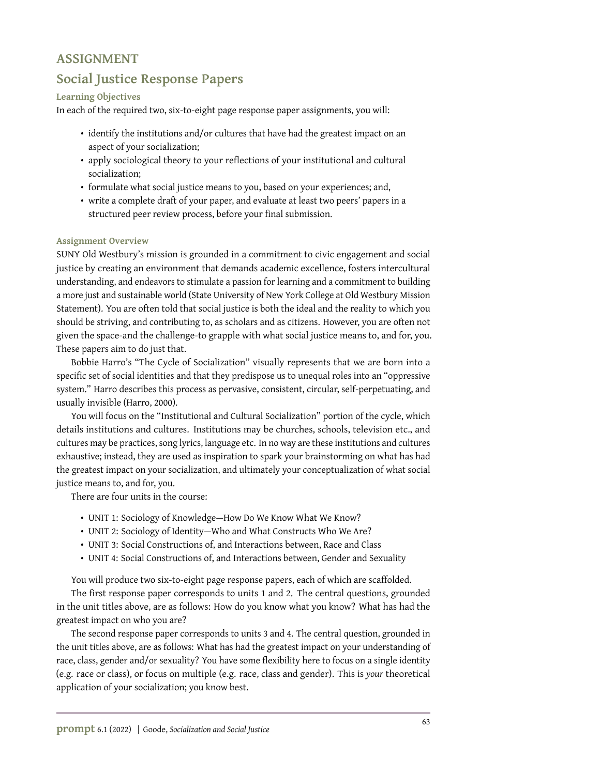### **ASSIGNMENT**

# **Social Justice Response Papers**

#### **Learning Objectives**

In each of the required two, six-to-eight page response paper assignments, you will:

- identify the institutions and/or cultures that have had the greatest impact on an aspect of your socialization;
- apply sociological theory to your reflections of your institutional and cultural socialization;
- formulate what social justice means to you, based on your experiences; and,
- write a complete draft of your paper, and evaluate at least two peers' papers in a structured peer review process, before your final submission.

#### **Assignment Overview**

SUNY Old Westbury's mission is grounded in a commitment to civic engagement and social justice by creating an environment that demands academic excellence, fosters intercultural understanding, and endeavors to stimulate a passion for learning and a commitment to building a more just and sustainable world (State University of New York College at Old Westbury Mission Statement). You are often told that social justice is both the ideal and the reality to which you should be striving, and contributing to, as scholars and as citizens. However, you are often not given the space-and the challenge-to grapple with what social justice means to, and for, you. These papers aim to do just that.

Bobbie Harro's "The Cycle of Socialization" visually represents that we are born into a specific set of social identities and that they predispose us to unequal roles into an "oppressive system." Harro describes this process as pervasive, consistent, circular, self-perpetuating, and usually invisible (Harro, 2000).

You will focus on the "Institutional and Cultural Socialization" portion of the cycle, which details institutions and cultures. Institutions may be churches, schools, television etc., and cultures may be practices, song lyrics, language etc. In no way are these institutions and cultures exhaustive; instead, they are used as inspiration to spark your brainstorming on what has had the greatest impact on your socialization, and ultimately your conceptualization of what social justice means to, and for, you.

There are four units in the course:

- UNIT 1: Sociology of Knowledge—How Do We Know What We Know?
- UNIT 2: Sociology of Identity—Who and What Constructs Who We Are?
- UNIT 3: Social Constructions of, and Interactions between, Race and Class
- UNIT 4: Social Constructions of, and Interactions between, Gender and Sexuality

You will produce two six-to-eight page response papers, each of which are scaffolded.

The first response paper corresponds to units 1 and 2. The central questions, grounded in the unit titles above, are as follows: How do you know what you know? What has had the greatest impact on who you are?

The second response paper corresponds to units 3 and 4. The central question, grounded in the unit titles above, are as follows: What has had the greatest impact on your understanding of race, class, gender and/or sexuality? You have some flexibility here to focus on a single identity (e.g. race or class), or focus on multiple (e.g. race, class and gender). This is *your* theoretical application of your socialization; you know best.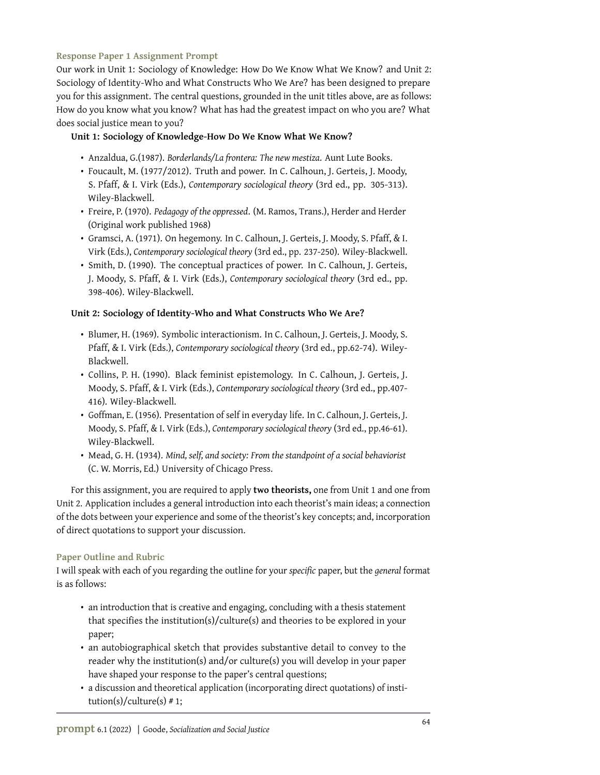#### **Response Paper 1 Assignment Prompt**

Our work in Unit 1: Sociology of Knowledge: How Do We Know What We Know? and Unit 2: Sociology of Identity-Who and What Constructs Who We Are? has been designed to prepare you for this assignment. The central questions, grounded in the unit titles above, are as follows: How do you know what you know? What has had the greatest impact on who you are? What does social justice mean to you?

#### **Unit 1: Sociology of Knowledge-How Do We Know What We Know?**

- Anzaldua, G.(1987). *Borderlands/La frontera: The new mestiza*. Aunt Lute Books.
- Foucault, M. (1977/2012). Truth and power. In C. Calhoun, J. Gerteis, J. Moody, S. Pfaff, & I. Virk (Eds.), *Contemporary sociological theory* (3rd ed., pp. 305-313). Wiley-Blackwell.
- Freire, P. (1970). *Pedagogy of the oppressed*. (M. Ramos, Trans.), Herder and Herder (Original work published 1968)
- Gramsci, A. (1971). On hegemony. In C. Calhoun, J. Gerteis, J. Moody, S. Pfaff, & I. Virk (Eds.), *Contemporary sociological theory* (3rd ed., pp. 237-250). Wiley-Blackwell.
- Smith, D. (1990). The conceptual practices of power. In C. Calhoun, J. Gerteis, J. Moody, S. Pfaff, & I. Virk (Eds.), *Contemporary sociological theory* (3rd ed., pp. 398-406). Wiley-Blackwell.

#### **Unit 2: Sociology of Identity-Who and What Constructs Who We Are?**

- Blumer, H. (1969). Symbolic interactionism. In C. Calhoun, J. Gerteis, J. Moody, S. Pfaff, & I. Virk (Eds.), *Contemporary sociological theory* (3rd ed., pp.62-74). Wiley-Blackwell.
- Collins, P. H. (1990). Black feminist epistemology. In C. Calhoun, J. Gerteis, J. Moody, S. Pfaff, & I. Virk (Eds.), *Contemporary sociological theory* (3rd ed., pp.407- 416). Wiley-Blackwell.
- Goffman, E. (1956). Presentation of self in everyday life. In C. Calhoun, J. Gerteis, J. Moody, S. Pfaff, & I. Virk (Eds.), *Contemporary sociological theory* (3rd ed., pp.46-61). Wiley-Blackwell.
- Mead, G. H. (1934). *Mind, self, and society: From the standpoint of a social behaviorist* (C. W. Morris, Ed.) University of Chicago Press.

For this assignment, you are required to apply **two theorists,** one from Unit 1 and one from Unit 2. Application includes a general introduction into each theorist's main ideas; a connection of the dots between your experience and some of the theorist's key concepts; and, incorporation of direct quotations to support your discussion.

#### **Paper Outline and Rubric**

I will speak with each of you regarding the outline for your *specific* paper, but the *general* format is as follows:

- an introduction that is creative and engaging, concluding with a thesis statement that specifies the institution(s)/culture(s) and theories to be explored in your paper;
- an autobiographical sketch that provides substantive detail to convey to the reader why the institution(s) and/or culture(s) you will develop in your paper have shaped your response to the paper's central questions;
- a discussion and theoretical application (incorporating direct quotations) of institution(s)/culture(s)  $# 1;$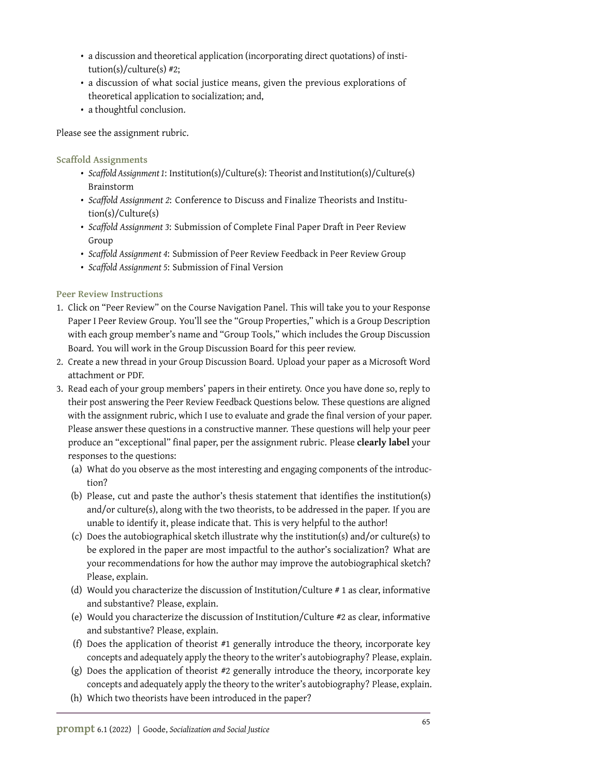- a discussion and theoretical application (incorporating direct quotations) of institution(s)/culture(s) #2;
- a discussion of what social justice means, given the previous explorations of theoretical application to socialization; and,
- a thoughtful conclusion.

Please see the assignment rubric.

**Scaffold Assignments**

- *Scaffold Assignment 1*: Institution(s)/Culture(s): Theorist and Institution(s)/Culture(s) Brainstorm
- *Scaffold Assignment 2*: Conference to Discuss and Finalize Theorists and Institution(s)/Culture(s)
- *Scaffold Assignment 3*: Submission of Complete Final Paper Draft in Peer Review Group
- *Scaffold Assignment 4*: Submission of Peer Review Feedback in Peer Review Group
- *Scaffold Assignment 5*: Submission of Final Version

**Peer Review Instructions**

- 1. Click on "Peer Review" on the Course Navigation Panel. This will take you to your Response Paper I Peer Review Group. You'll see the "Group Properties," which is a Group Description with each group member's name and "Group Tools," which includes the Group Discussion Board. You will work in the Group Discussion Board for this peer review.
- 2. Create a new thread in your Group Discussion Board. Upload your paper as a Microsoft Word attachment or PDF.
- 3. Read each of your group members' papers in their entirety. Once you have done so, reply to their post answering the Peer Review Feedback Questions below. These questions are aligned with the assignment rubric, which I use to evaluate and grade the final version of your paper. Please answer these questions in a constructive manner. These questions will help your peer produce an "exceptional" final paper, per the assignment rubric. Please **clearly label** your responses to the questions:
	- (a) What do you observe as the most interesting and engaging components of the introduction?
	- (b) Please, cut and paste the author's thesis statement that identifies the institution(s) and/or culture(s), along with the two theorists, to be addressed in the paper. If you are unable to identify it, please indicate that. This is very helpful to the author!
	- (c) Does the autobiographical sketch illustrate why the institution(s) and/or culture(s) to be explored in the paper are most impactful to the author's socialization? What are your recommendations for how the author may improve the autobiographical sketch? Please, explain.
	- (d) Would you characterize the discussion of Institution/Culture # 1 as clear, informative and substantive? Please, explain.
	- (e) Would you characterize the discussion of Institution/Culture #2 as clear, informative and substantive? Please, explain.
	- (f) Does the application of theorist #1 generally introduce the theory, incorporate key concepts and adequately apply the theory to the writer's autobiography? Please, explain.
	- (g) Does the application of theorist #2 generally introduce the theory, incorporate key concepts and adequately apply the theory to the writer's autobiography? Please, explain.
	- (h) Which two theorists have been introduced in the paper?